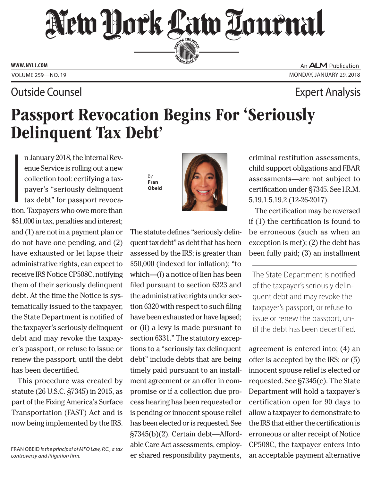# New Hork Law Lournal SERVING THE BET

**ED BAR SINCE 1888** 

**www. NYLJ.com**

### Outside Counsel

An **ALM** Publication VOLUME 259-NO. 19 monday, january 29, 2018

Expert Analysis

## Passport Revocation Begins For 'Seriously Delinquent Tax Debt'

**I**<br>Ition n January 2018, the Internal Revenue Service is rolling out a new collection tool: certifying a taxpayer's "seriously delinquent tax debt" for passport revocation. Taxpayers who owe more than \$51,000 in tax, penalties and interest; and (1) are not in a payment plan or do not have one pending, and (2) have exhausted or let lapse their administrative rights, can expect to receive IRS Notice CP508C, notifying them of their seriously delinquent debt. At the time the Notice is systematically issued to the taxpayer, the State Department is notified of the taxpayer's seriously delinquent debt and may revoke the taxpayer's passport, or refuse to issue or renew the passport, until the debt has been decertified.

This procedure was created by statute (26 U.S.C. §7345) in 2015, as part of the Fixing America's Surface Transportation (FAST) Act and is now being implemented by the IRS.





The statute defines "seriously delinquent tax debt" as debt that has been assessed by the IRS; is greater than \$50,000 (indexed for inflation); "to which—(i) a notice of lien has been filed pursuant to section 6323 and the administrative rights under section 6320 with respect to such filing have been exhausted or have lapsed; or (ii) a levy is made pursuant to section 6331." The statutory exceptions to a "seriously tax delinquent debt" include debts that are being timely paid pursuant to an installment agreement or an offer in compromise or if a collection due process hearing has been requested or is pending or innocent spouse relief has been elected or is requested. See §7345(b)(2). Certain debt—Affordable Care Act assessments, employer shared responsibility payments,

criminal restitution assessments, child support obligations and FBAR assessments—are not subject to certification under §7345. See I.R.M. 5.19.1.5.19.2 (12-26-2017).

The certification may be reversed if (1) the certification is found to be erroneous (such as when an exception is met); (2) the debt has been fully paid; (3) an installment

The State Department is notified of the taxpayer's seriously delinquent debt and may revoke the taxpayer's passport, or refuse to issue or renew the passport, until the debt has been decertified.

agreement is entered into; (4) an offer is accepted by the IRS; or (5) innocent spouse relief is elected or requested. See §7345(c). The State Department will hold a taxpayer's certification open for 90 days to allow a taxpayer to demonstrate to the IRS that either the certification is erroneous or after receipt of Notice CP508C, the taxpayer enters into an acceptable payment alternative

Fran Obeid *is the principal of MFO Law, P.C., a tax controversy and litigation firm.*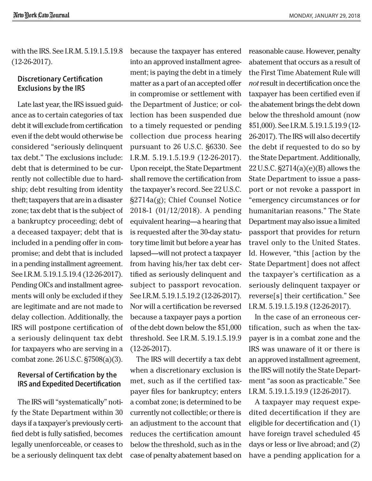with the IRS. See I.R.M. 5.19.1.5.19.8 (12-26-2017).

#### **Discretionary Certification Exclusions by the IRS**

Late last year, the IRS issued guidance as to certain categories of tax debt it will exclude from certification even if the debt would otherwise be considered "seriously delinquent tax debt." The exclusions include: debt that is determined to be currently not collectible due to hardship; debt resulting from identity theft; taxpayers that are in a disaster zone; tax debt that is the subject of a bankruptcy proceeding; debt of a deceased taxpayer; debt that is included in a pending offer in compromise; and debt that is included in a pending installment agreement. See I.R.M. 5.19.1.5.19.4 (12-26-2017). Pending OICs and installment agreements will only be excluded if they are legitimate and are not made to delay collection. Additionally, the IRS will postpone certification of a seriously delinquent tax debt for taxpayers who are serving in a combat zone. 26 U.S.C. §7508(a)(3).

#### **Reversal of Certification by the IRS and Expedited Decertification**

The IRS will "systematically" notify the State Department within 30 days if a taxpayer's previously certified debt is fully satisfied, becomes legally unenforceable, or ceases to be a seriously delinquent tax debt

because the taxpayer has entered into an approved installment agreement; is paying the debt in a timely matter as a part of an accepted offer in compromise or settlement with the Department of Justice; or collection has been suspended due to a timely requested or pending collection due process hearing pursuant to 26 U.S.C. §6330. See I.R.M. 5.19.1.5.19.9 (12-26-2017). Upon receipt, the State Department shall remove the certification from the taxpayer's record. See 22 U.S.C. §2714a(g); Chief Counsel Notice 2018-1 (01/12/2018). A pending equivalent hearing—a hearing that is requested after the 30-day statutory time limit but before a year has lapsed—will not protect a taxpayer from having his/her tax debt certified as seriously delinquent and subject to passport revocation. See I.R.M. 5.19.1.5.19.2 (12-26-2017). Nor will a certification be reversed because a taxpayer pays a portion of the debt down below the \$51,000 threshold. See I.R.M. 5.19.1.5.19.9 (12-26-2017).

The IRS will decertify a tax debt when a discretionary exclusion is met, such as if the certified taxpayer files for bankruptcy; enters a combat zone; is determined to be currently not collectible; or there is an adjustment to the account that reduces the certification amount below the threshold, such as in the case of penalty abatement based on reasonable cause. However, penalty abatement that occurs as a result of the First Time Abatement Rule will *not* result in decertification once the taxpayer has been certified even if the abatement brings the debt down below the threshold amount (now \$51,000). See I.R.M. 5.19.1.5.19.9 (12- 26-2017). The IRS will also decertify the debt if requested to do so by the State Department. Additionally, 22 U.S.C. §2714(a)(e)(B) allows the State Department to issue a passport or not revoke a passport in "emergency circumstances or for humanitarian reasons." The State Department may also issue a limited passport that provides for return travel only to the United States. Id. However, "this [action by the State Department] does not affect the taxpayer's certification as a seriously delinquent taxpayer or reverse[s] their certification." See I.R.M. 5.19.1.5.19.8 (12-26-2017).

In the case of an erroneous certification, such as when the taxpayer is in a combat zone and the IRS was unaware of it or there is an approved installment agreement, the IRS will notify the State Department "as soon as practicable." See I.R.M. 5.19.1.5.19.9 (12-26-2017).

A taxpayer may request expedited decertification if they are eligible for decertification and (1) have foreign travel scheduled 45 days or less or live abroad; and (2) have a pending application for a